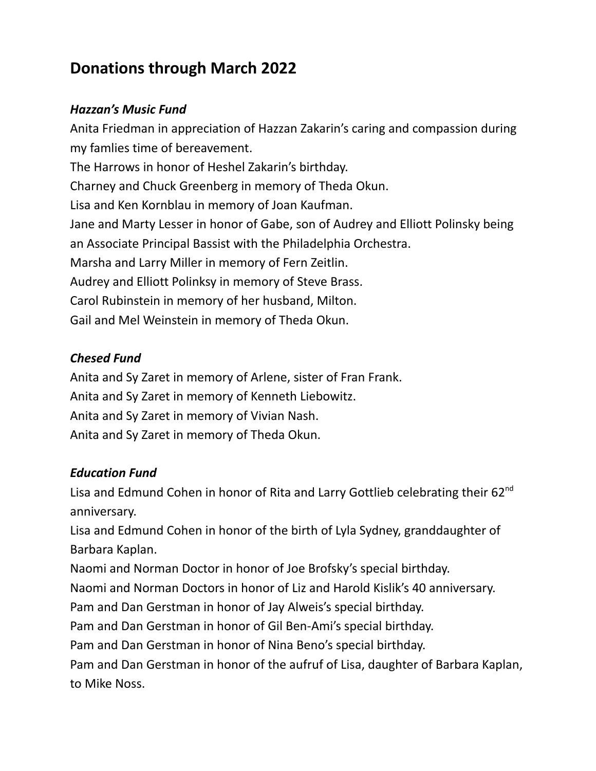# **Donations through March 2022**

#### *Hazzan's Music Fund*

Anita Friedman in appreciation of Hazzan Zakarin's caring and compassion during my famlies time of bereavement. The Harrows in honor of Heshel Zakarin's birthday. Charney and Chuck Greenberg in memory of Theda Okun. Lisa and Ken Kornblau in memory of Joan Kaufman. Jane and Marty Lesser in honor of Gabe, son of Audrey and Elliott Polinsky being an Associate Principal Bassist with the Philadelphia Orchestra. Marsha and Larry Miller in memory of Fern Zeitlin. Audrey and Elliott Polinksy in memory of Steve Brass. Carol Rubinstein in memory of her husband, Milton. Gail and Mel Weinstein in memory of Theda Okun.

## *Chesed Fund*

Anita and Sy Zaret in memory of Arlene, sister of Fran Frank. Anita and Sy Zaret in memory of Kenneth Liebowitz. Anita and Sy Zaret in memory of Vivian Nash. Anita and Sy Zaret in memory of Theda Okun.

#### *Education Fund*

Lisa and Edmund Cohen in honor of Rita and Larry Gottlieb celebrating their 62<sup>nd</sup> anniversary.

Lisa and Edmund Cohen in honor of the birth of Lyla Sydney, granddaughter of Barbara Kaplan.

Naomi and Norman Doctor in honor of Joe Brofsky's special birthday.

Naomi and Norman Doctors in honor of Liz and Harold Kislik's 40 anniversary.

Pam and Dan Gerstman in honor of Jay Alweis's special birthday.

Pam and Dan Gerstman in honor of Gil Ben-Ami's special birthday.

Pam and Dan Gerstman in honor of Nina Beno's special birthday.

Pam and Dan Gerstman in honor of the aufruf of Lisa, daughter of Barbara Kaplan, to Mike Noss.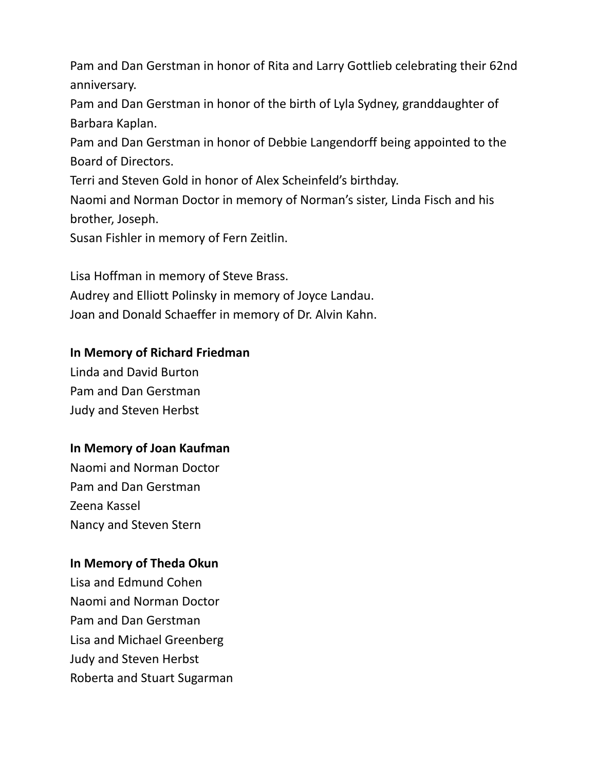Pam and Dan Gerstman in honor of Rita and Larry Gottlieb celebrating their 62nd anniversary.

Pam and Dan Gerstman in honor of the birth of Lyla Sydney, granddaughter of Barbara Kaplan.

Pam and Dan Gerstman in honor of Debbie Langendorff being appointed to the Board of Directors.

Terri and Steven Gold in honor of Alex Scheinfeld's birthday.

Naomi and Norman Doctor in memory of Norman's sister, Linda Fisch and his brother, Joseph.

Susan Fishler in memory of Fern Zeitlin.

Lisa Hoffman in memory of Steve Brass.

Audrey and Elliott Polinsky in memory of Joyce Landau. Joan and Donald Schaeffer in memory of Dr. Alvin Kahn.

## **In Memory of Richard Friedman**

Linda and David Burton Pam and Dan Gerstman Judy and Steven Herbst

## **In Memory of Joan Kaufman**

Naomi and Norman Doctor Pam and Dan Gerstman Zeena Kassel Nancy and Steven Stern

## **In Memory of Theda Okun**

Lisa and Edmund Cohen Naomi and Norman Doctor Pam and Dan Gerstman Lisa and Michael Greenberg Judy and Steven Herbst Roberta and Stuart Sugarman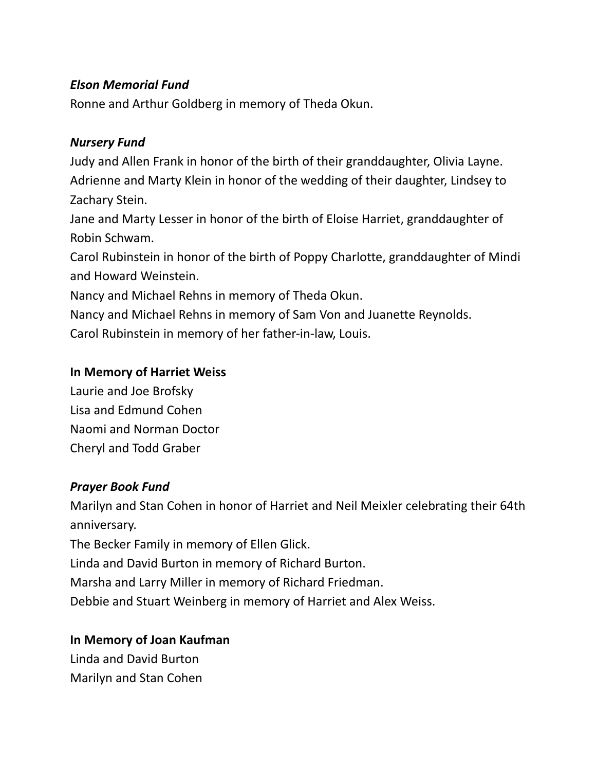#### *Elson Memorial Fund*

Ronne and Arthur Goldberg in memory of Theda Okun.

#### *Nursery Fund*

Judy and Allen Frank in honor of the birth of their granddaughter, Olivia Layne. Adrienne and Marty Klein in honor of the wedding of their daughter, Lindsey to Zachary Stein.

Jane and Marty Lesser in honor of the birth of Eloise Harriet, granddaughter of Robin Schwam.

Carol Rubinstein in honor of the birth of Poppy Charlotte, granddaughter of Mindi and Howard Weinstein.

Nancy and Michael Rehns in memory of Theda Okun.

Nancy and Michael Rehns in memory of Sam Von and Juanette Reynolds. Carol Rubinstein in memory of her father-in-law, Louis.

#### **In Memory of Harriet Weiss**

Laurie and Joe Brofsky Lisa and Edmund Cohen Naomi and Norman Doctor Cheryl and Todd Graber

## *Prayer Book Fund*

Marilyn and Stan Cohen in honor of Harriet and Neil Meixler celebrating their 64th anniversary.

The Becker Family in memory of Ellen Glick.

Linda and David Burton in memory of Richard Burton.

Marsha and Larry Miller in memory of Richard Friedman.

Debbie and Stuart Weinberg in memory of Harriet and Alex Weiss.

## **In Memory of Joan Kaufman**

Linda and David Burton Marilyn and Stan Cohen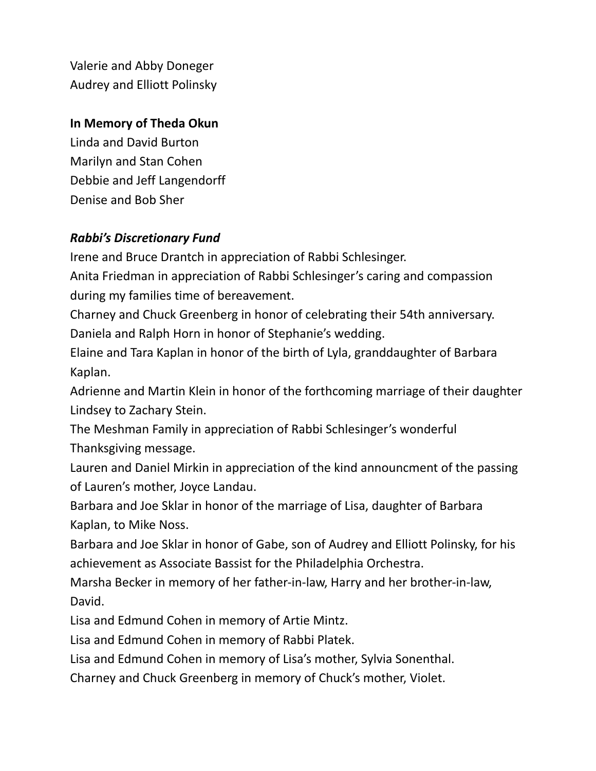Valerie and Abby Doneger Audrey and Elliott Polinsky

#### **In Memory of Theda Okun**

Linda and David Burton Marilyn and Stan Cohen Debbie and Jeff Langendorff Denise and Bob Sher

## *Rabbi's Discretionary Fund*

Irene and Bruce Drantch in appreciation of Rabbi Schlesinger.

Anita Friedman in appreciation of Rabbi Schlesinger's caring and compassion during my families time of bereavement.

Charney and Chuck Greenberg in honor of celebrating their 54th anniversary. Daniela and Ralph Horn in honor of Stephanie's wedding.

Elaine and Tara Kaplan in honor of the birth of Lyla, granddaughter of Barbara Kaplan.

Adrienne and Martin Klein in honor of the forthcoming marriage of their daughter Lindsey to Zachary Stein.

The Meshman Family in appreciation of Rabbi Schlesinger's wonderful Thanksgiving message.

Lauren and Daniel Mirkin in appreciation of the kind announcment of the passing of Lauren's mother, Joyce Landau.

Barbara and Joe Sklar in honor of the marriage of Lisa, daughter of Barbara Kaplan, to Mike Noss.

Barbara and Joe Sklar in honor of Gabe, son of Audrey and Elliott Polinsky, for his achievement as Associate Bassist for the Philadelphia Orchestra.

Marsha Becker in memory of her father-in-law, Harry and her brother-in-law, David.

Lisa and Edmund Cohen in memory of Artie Mintz.

Lisa and Edmund Cohen in memory of Rabbi Platek.

Lisa and Edmund Cohen in memory of Lisa's mother, Sylvia Sonenthal.

Charney and Chuck Greenberg in memory of Chuck's mother, Violet.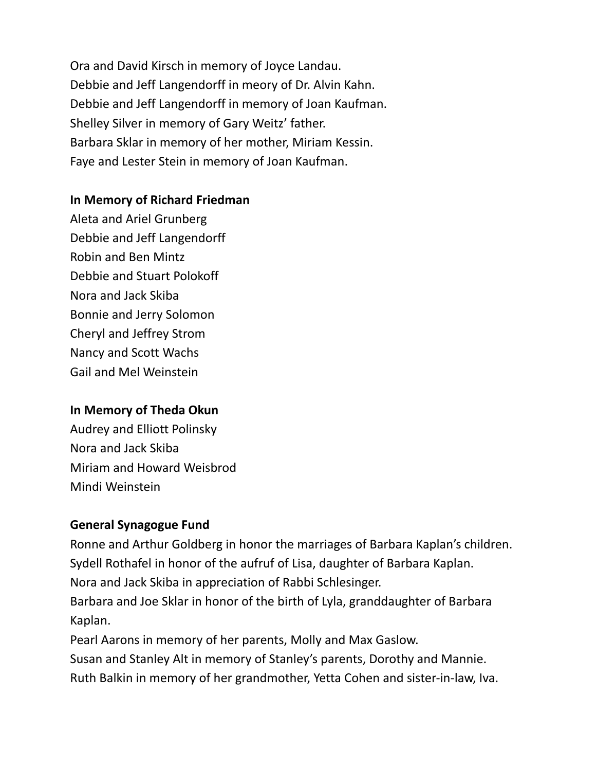Ora and David Kirsch in memory of Joyce Landau. Debbie and Jeff Langendorff in meory of Dr. Alvin Kahn. Debbie and Jeff Langendorff in memory of Joan Kaufman. Shelley Silver in memory of Gary Weitz' father. Barbara Sklar in memory of her mother, Miriam Kessin. Faye and Lester Stein in memory of Joan Kaufman.

## **In Memory of Richard Friedman**

Aleta and Ariel Grunberg Debbie and Jeff Langendorff Robin and Ben Mintz Debbie and Stuart Polokoff Nora and Jack Skiba Bonnie and Jerry Solomon Cheryl and Jeffrey Strom Nancy and Scott Wachs Gail and Mel Weinstein

## **In Memory of Theda Okun**

Audrey and Elliott Polinsky Nora and Jack Skiba Miriam and Howard Weisbrod Mindi Weinstein

## **General Synagogue Fund**

Ronne and Arthur Goldberg in honor the marriages of Barbara Kaplan's children. Sydell Rothafel in honor of the aufruf of Lisa, daughter of Barbara Kaplan. Nora and Jack Skiba in appreciation of Rabbi Schlesinger. Barbara and Joe Sklar in honor of the birth of Lyla, granddaughter of Barbara Kaplan. Pearl Aarons in memory of her parents, Molly and Max Gaslow.

Susan and Stanley Alt in memory of Stanley's parents, Dorothy and Mannie. Ruth Balkin in memory of her grandmother, Yetta Cohen and sister-in-law, Iva.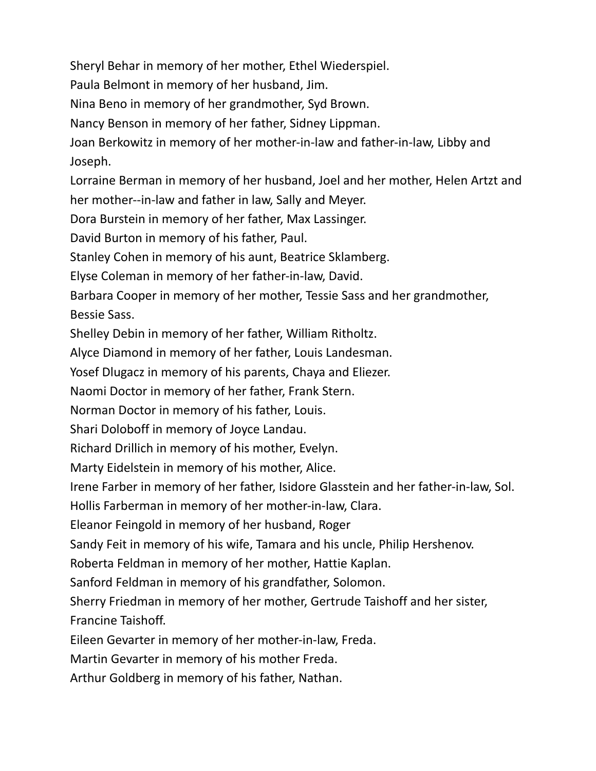Sheryl Behar in memory of her mother, Ethel Wiederspiel.

Paula Belmont in memory of her husband, Jim.

Nina Beno in memory of her grandmother, Syd Brown.

Nancy Benson in memory of her father, Sidney Lippman.

Joan Berkowitz in memory of her mother-in-law and father-in-law, Libby and Joseph.

Lorraine Berman in memory of her husband, Joel and her mother, Helen Artzt and her mother--in-law and father in law, Sally and Meyer.

Dora Burstein in memory of her father, Max Lassinger.

David Burton in memory of his father, Paul.

Stanley Cohen in memory of his aunt, Beatrice Sklamberg.

Elyse Coleman in memory of her father-in-law, David.

Barbara Cooper in memory of her mother, Tessie Sass and her grandmother, Bessie Sass.

Shelley Debin in memory of her father, William Ritholtz.

Alyce Diamond in memory of her father, Louis Landesman.

Yosef Dlugacz in memory of his parents, Chaya and Eliezer.

Naomi Doctor in memory of her father, Frank Stern.

Norman Doctor in memory of his father, Louis.

Shari Doloboff in memory of Joyce Landau.

Richard Drillich in memory of his mother, Evelyn.

Marty Eidelstein in memory of his mother, Alice.

Irene Farber in memory of her father, Isidore Glasstein and her father-in-law, Sol.

Hollis Farberman in memory of her mother-in-law, Clara.

Eleanor Feingold in memory of her husband, Roger

Sandy Feit in memory of his wife, Tamara and his uncle, Philip Hershenov.

Roberta Feldman in memory of her mother, Hattie Kaplan.

Sanford Feldman in memory of his grandfather, Solomon.

Sherry Friedman in memory of her mother, Gertrude Taishoff and her sister, Francine Taishoff.

Eileen Gevarter in memory of her mother-in-law, Freda.

Martin Gevarter in memory of his mother Freda.

Arthur Goldberg in memory of his father, Nathan.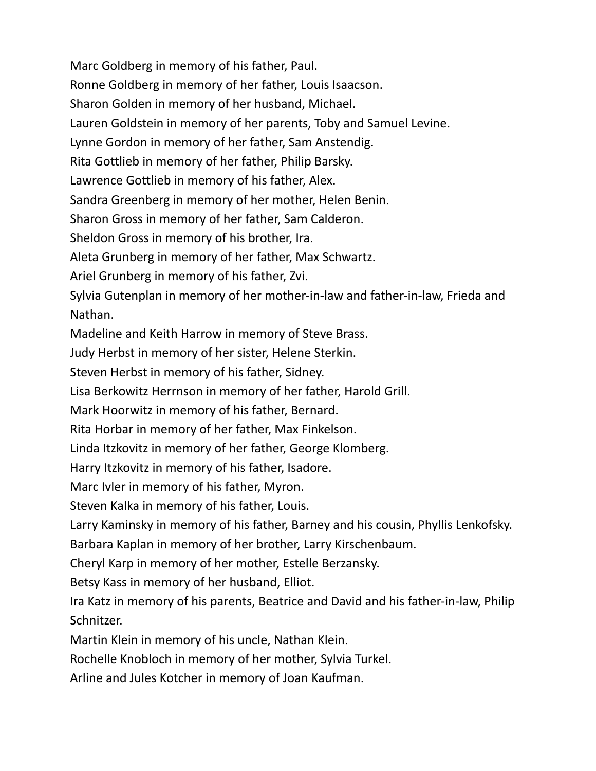Marc Goldberg in memory of his father, Paul. Ronne Goldberg in memory of her father, Louis Isaacson. Sharon Golden in memory of her husband, Michael. Lauren Goldstein in memory of her parents, Toby and Samuel Levine. Lynne Gordon in memory of her father, Sam Anstendig. Rita Gottlieb in memory of her father, Philip Barsky. Lawrence Gottlieb in memory of his father, Alex. Sandra Greenberg in memory of her mother, Helen Benin. Sharon Gross in memory of her father, Sam Calderon. Sheldon Gross in memory of his brother, Ira. Aleta Grunberg in memory of her father, Max Schwartz. Ariel Grunberg in memory of his father, Zvi. Sylvia Gutenplan in memory of her mother-in-law and father-in-law, Frieda and Nathan. Madeline and Keith Harrow in memory of Steve Brass. Judy Herbst in memory of her sister, Helene Sterkin. Steven Herbst in memory of his father, Sidney. Lisa Berkowitz Herrnson in memory of her father, Harold Grill. Mark Hoorwitz in memory of his father, Bernard. Rita Horbar in memory of her father, Max Finkelson. Linda Itzkovitz in memory of her father, George Klomberg. Harry Itzkovitz in memory of his father, Isadore. Marc Ivler in memory of his father, Myron. Steven Kalka in memory of his father, Louis. Larry Kaminsky in memory of his father, Barney and his cousin, Phyllis Lenkofsky. Barbara Kaplan in memory of her brother, Larry Kirschenbaum. Cheryl Karp in memory of her mother, Estelle Berzansky. Betsy Kass in memory of her husband, Elliot. Ira Katz in memory of his parents, Beatrice and David and his father-in-law, Philip Schnitzer.

Martin Klein in memory of his uncle, Nathan Klein.

Rochelle Knobloch in memory of her mother, Sylvia Turkel.

Arline and Jules Kotcher in memory of Joan Kaufman.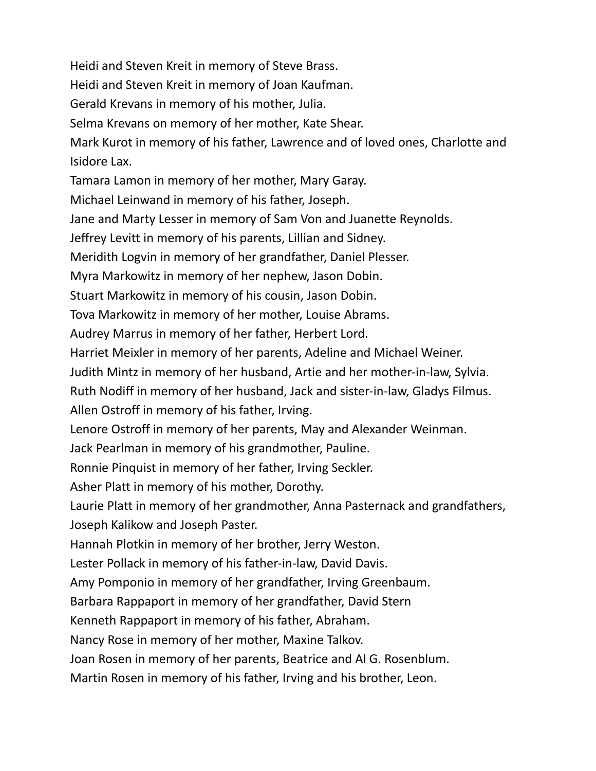Heidi and Steven Kreit in memory of Steve Brass. Heidi and Steven Kreit in memory of Joan Kaufman. Gerald Krevans in memory of his mother, Julia. Selma Krevans on memory of her mother, Kate Shear. Mark Kurot in memory of his father, Lawrence and of loved ones, Charlotte and Isidore Lax. Tamara Lamon in memory of her mother, Mary Garay. Michael Leinwand in memory of his father, Joseph. Jane and Marty Lesser in memory of Sam Von and Juanette Reynolds. Jeffrey Levitt in memory of his parents, Lillian and Sidney. Meridith Logvin in memory of her grandfather, Daniel Plesser. Myra Markowitz in memory of her nephew, Jason Dobin. Stuart Markowitz in memory of his cousin, Jason Dobin. Tova Markowitz in memory of her mother, Louise Abrams. Audrey Marrus in memory of her father, Herbert Lord. Harriet Meixler in memory of her parents, Adeline and Michael Weiner. Judith Mintz in memory of her husband, Artie and her mother-in-law, Sylvia. Ruth Nodiff in memory of her husband, Jack and sister-in-law, Gladys Filmus. Allen Ostroff in memory of his father, Irving. Lenore Ostroff in memory of her parents, May and Alexander Weinman. Jack Pearlman in memory of his grandmother, Pauline. Ronnie Pinquist in memory of her father, Irving Seckler. Asher Platt in memory of his mother, Dorothy. Laurie Platt in memory of her grandmother, Anna Pasternack and grandfathers, Joseph Kalikow and Joseph Paster. Hannah Plotkin in memory of her brother, Jerry Weston. Lester Pollack in memory of his father-in-law, David Davis. Amy Pomponio in memory of her grandfather, Irving Greenbaum. Barbara Rappaport in memory of her grandfather, David Stern Kenneth Rappaport in memory of his father, Abraham. Nancy Rose in memory of her mother, Maxine Talkov. Joan Rosen in memory of her parents, Beatrice and Al G. Rosenblum.

Martin Rosen in memory of his father, Irving and his brother, Leon.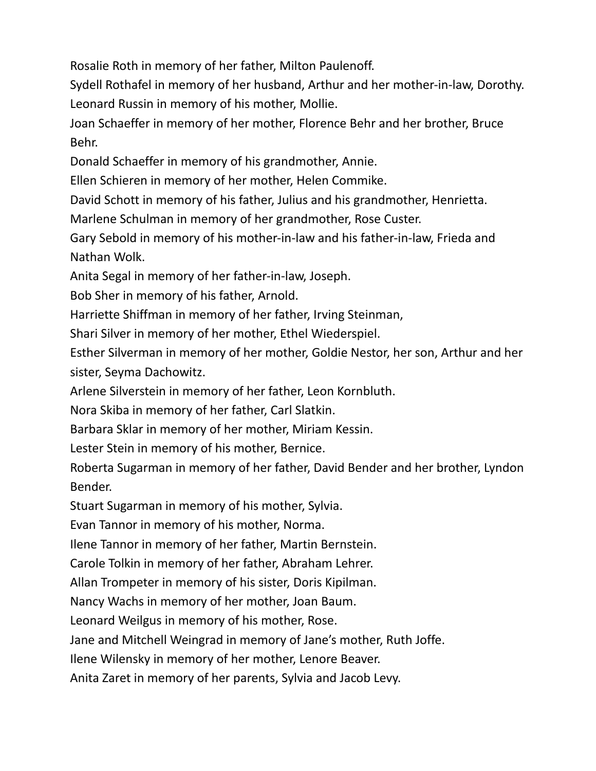Rosalie Roth in memory of her father, Milton Paulenoff.

Sydell Rothafel in memory of her husband, Arthur and her mother-in-law, Dorothy. Leonard Russin in memory of his mother, Mollie.

Joan Schaeffer in memory of her mother, Florence Behr and her brother, Bruce Behr.

Donald Schaeffer in memory of his grandmother, Annie.

Ellen Schieren in memory of her mother, Helen Commike.

David Schott in memory of his father, Julius and his grandmother, Henrietta.

Marlene Schulman in memory of her grandmother, Rose Custer.

Gary Sebold in memory of his mother-in-law and his father-in-law, Frieda and Nathan Wolk.

Anita Segal in memory of her father-in-law, Joseph.

Bob Sher in memory of his father, Arnold.

Harriette Shiffman in memory of her father, Irving Steinman,

Shari Silver in memory of her mother, Ethel Wiederspiel.

Esther Silverman in memory of her mother, Goldie Nestor, her son, Arthur and her sister, Seyma Dachowitz.

Arlene Silverstein in memory of her father, Leon Kornbluth.

Nora Skiba in memory of her father, Carl Slatkin.

Barbara Sklar in memory of her mother, Miriam Kessin.

Lester Stein in memory of his mother, Bernice.

Roberta Sugarman in memory of her father, David Bender and her brother, Lyndon Bender.

Stuart Sugarman in memory of his mother, Sylvia.

Evan Tannor in memory of his mother, Norma.

Ilene Tannor in memory of her father, Martin Bernstein.

Carole Tolkin in memory of her father, Abraham Lehrer.

Allan Trompeter in memory of his sister, Doris Kipilman.

Nancy Wachs in memory of her mother, Joan Baum.

Leonard Weilgus in memory of his mother, Rose.

Jane and Mitchell Weingrad in memory of Jane's mother, Ruth Joffe.

Ilene Wilensky in memory of her mother, Lenore Beaver.

Anita Zaret in memory of her parents, Sylvia and Jacob Levy.